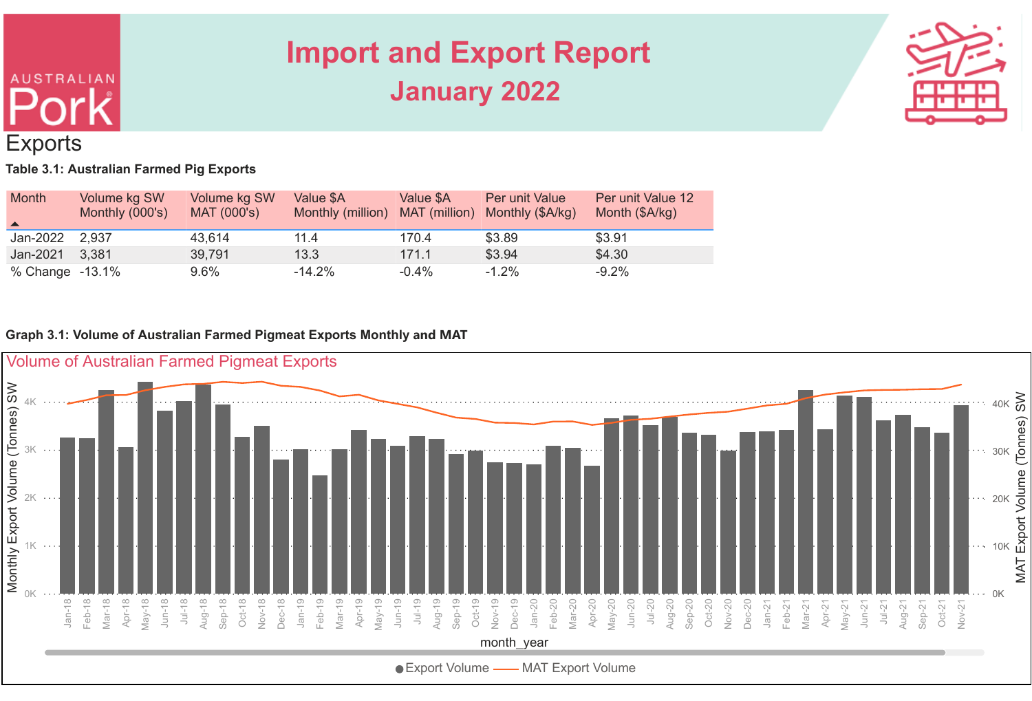# **AUSTRALIAN Exports**

# **Import and Export Report January 2022**



#### **Table 3.1: Australian Farmed Pig Exports**

| <b>Month</b><br>$\blacktriangle$ | Volume kg SW<br>Monthly (000's) | Volume kg SW<br>MAT (000's) | Value \$A<br>Monthly (million) | Value \$A<br>MAT (million) | <b>Per unit Value</b><br>Monthly (\$A/kg) | Per unit Value 12<br>Month (\$A/kg) |
|----------------------------------|---------------------------------|-----------------------------|--------------------------------|----------------------------|-------------------------------------------|-------------------------------------|
| Jan-2022 2,937                   |                                 | 43.614                      | 11.4                           | 170.4                      | \$3.89                                    | \$3.91                              |
| Jan-2021 3,381                   |                                 | 39,791                      | 13.3                           | 171.1                      | \$3.94                                    | \$4.30                              |
| % Change -13.1%                  |                                 | $9.6\%$                     | $-14.2%$                       | $-0.4%$                    | $-1.2%$                                   | $-9.2%$                             |

#### **Graph 3.1: Volume of Australian Farmed Pigmeat Exports Monthly and MAT**

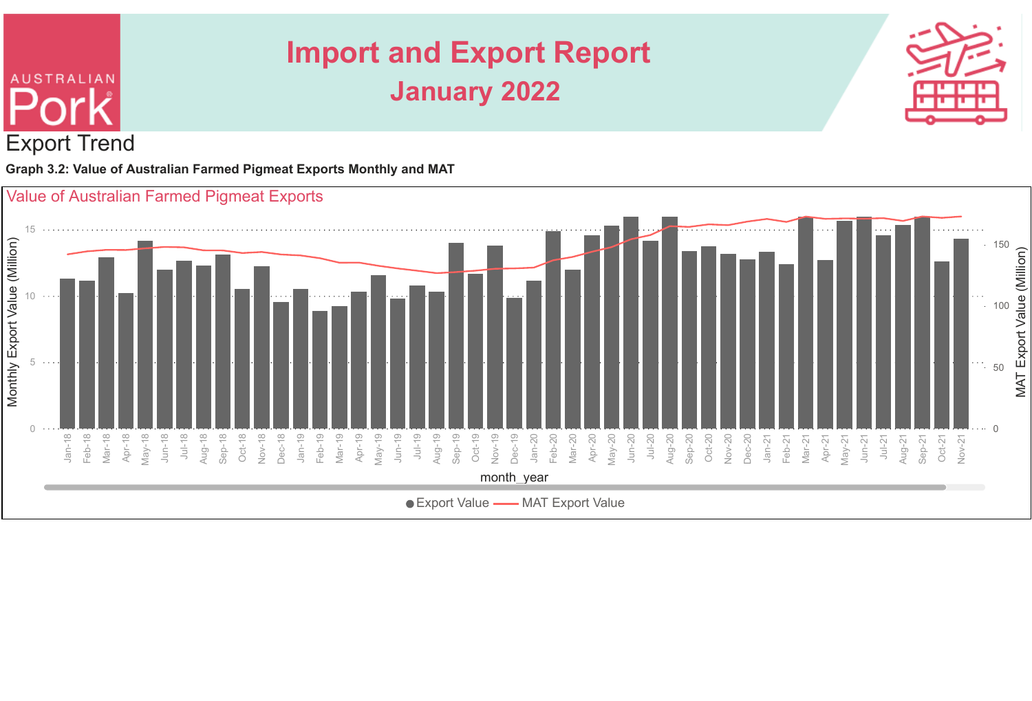

**Graph 3.2: Value of Australian Farmed Pigmeat Exports Monthly and MAT**

Export Trend

**AUSTRALIAN** 

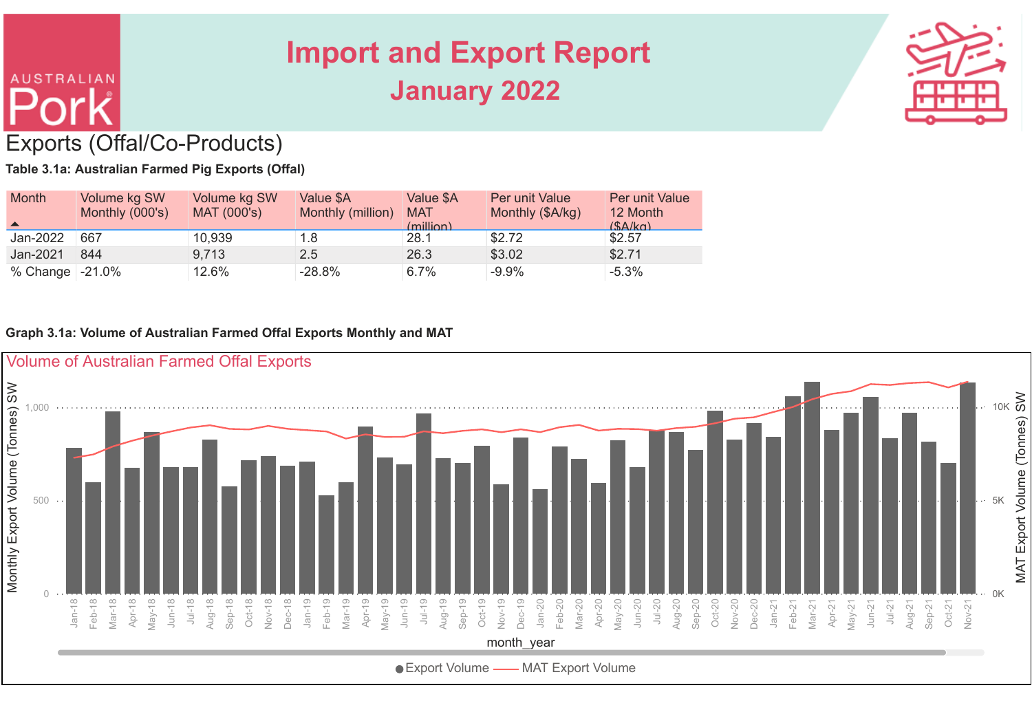

#### Exports (Offal/Co-Products)

**AUSTRALIAN** 

**Table 3.1a: Australian Farmed Pig Exports (Offal)**

| <b>Month</b>           | Volume kg SW<br>Monthly (000's) | Volume kg SW<br><b>MAT (000's)</b> | Value \$A<br>Monthly (million) | Value \$A<br><b>MAT</b><br>(million) | <b>Per unit Value</b><br>Monthly (\$A/kg) | <b>Per unit Value</b><br>12 Month<br>(SA/ka) |
|------------------------|---------------------------------|------------------------------------|--------------------------------|--------------------------------------|-------------------------------------------|----------------------------------------------|
| Jan-2022               | 667                             | 10,939                             | 1.8                            | 28.1                                 | \$2.72                                    | \$2.57                                       |
| Jan-2021               | 844                             | 9.713                              | 2.5                            | 26.3                                 | \$3.02                                    | \$2.71                                       |
| % Change $\mid$ -21.0% |                                 | 12.6%                              | $-28.8%$                       | 6.7%                                 | $-9.9%$                                   | $-5.3%$                                      |

#### **Graph 3.1a: Volume of Australian Farmed Offal Exports Monthly and MAT**

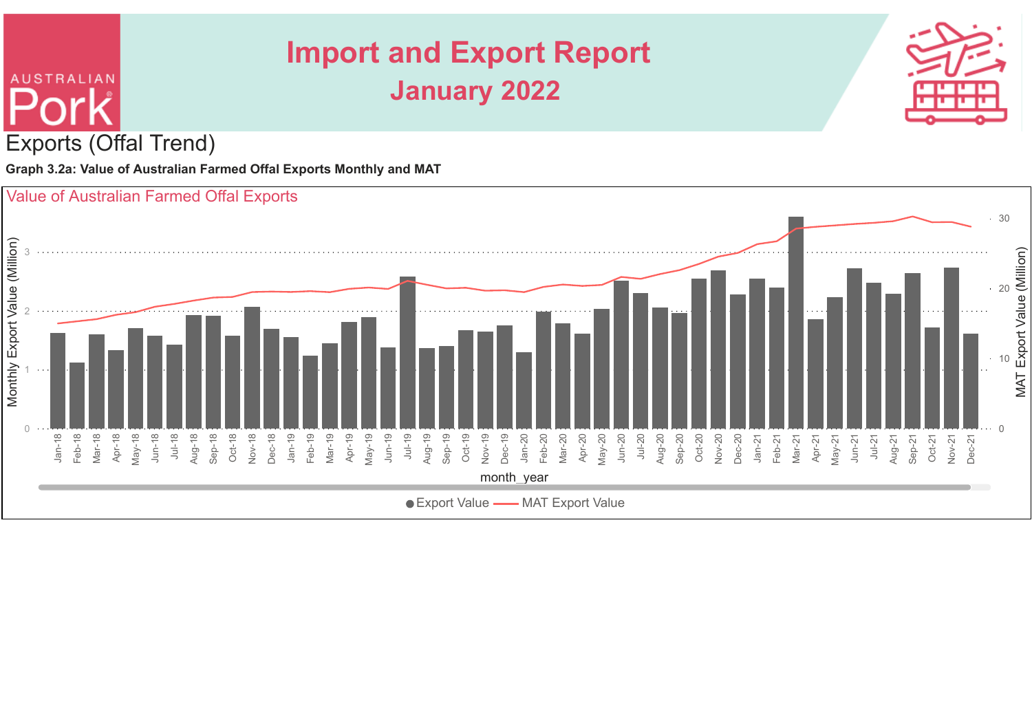

**Graph 3.2a: Value of Australian Farmed Offal Exports Monthly and MAT**



# **AUSTRALIAN** Exports (Offal Trend)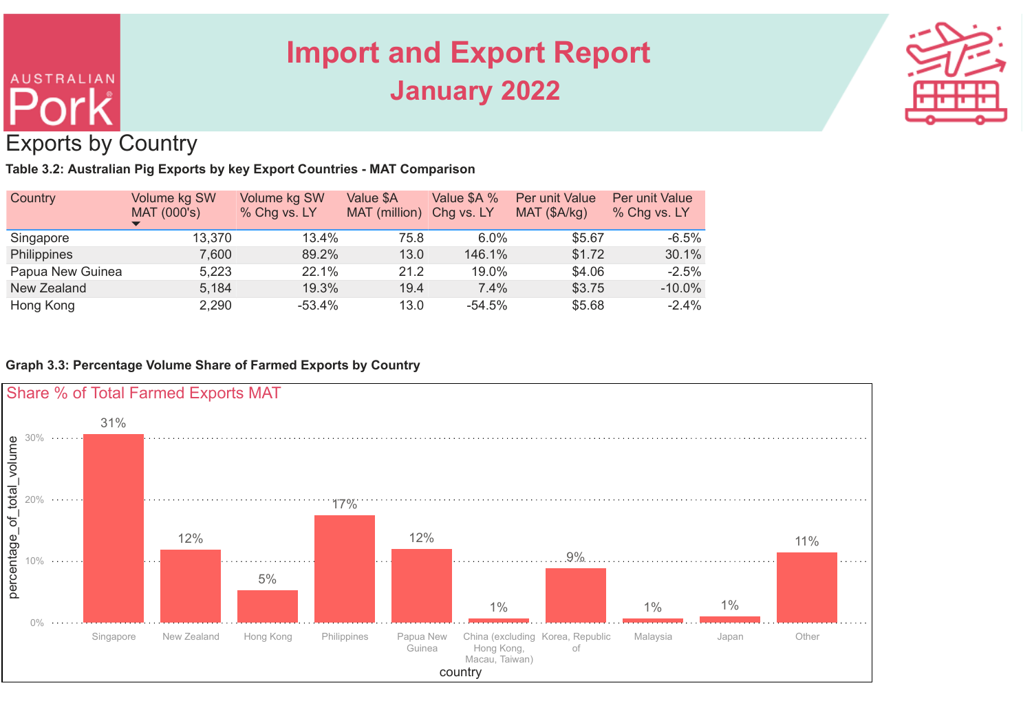# **AUSTRALIAN** Exports by Country

### **Import and Export Report January 2022**



**Table 3.2: Australian Pig Exports by key Export Countries - MAT Comparison**

| Country            | Volume kg SW<br><b>MAT (000's)</b> | Volume kg SW<br>% Chg vs. LY | Value \$A<br>MAT (million) | Value \$A %<br>Chg vs. LY | <b>Per unit Value</b><br>MAT (\$A/kg) | <b>Per unit Value</b><br>% Chg vs. LY |
|--------------------|------------------------------------|------------------------------|----------------------------|---------------------------|---------------------------------------|---------------------------------------|
| Singapore          | 13,370                             | 13.4%                        | 75.8                       | 6.0%                      | \$5.67                                | $-6.5%$                               |
| <b>Philippines</b> | 7,600                              | 89.2%                        | 13.0                       | 146.1%                    | \$1.72                                | 30.1%                                 |
| Papua New Guinea   | 5,223                              | 22.1%                        | 21.2                       | 19.0%                     | \$4.06                                | $-2.5%$                               |
| New Zealand        | 5,184                              | 19.3%                        | 19.4                       | 7.4%                      | \$3.75                                | $-10.0\%$                             |
| Hong Kong          | 2,290                              | $-53.4%$                     | 13.0                       | $-54.5%$                  | \$5.68                                | $-2.4%$                               |

**Graph 3.3: Percentage Volume Share of Farmed Exports by Country**

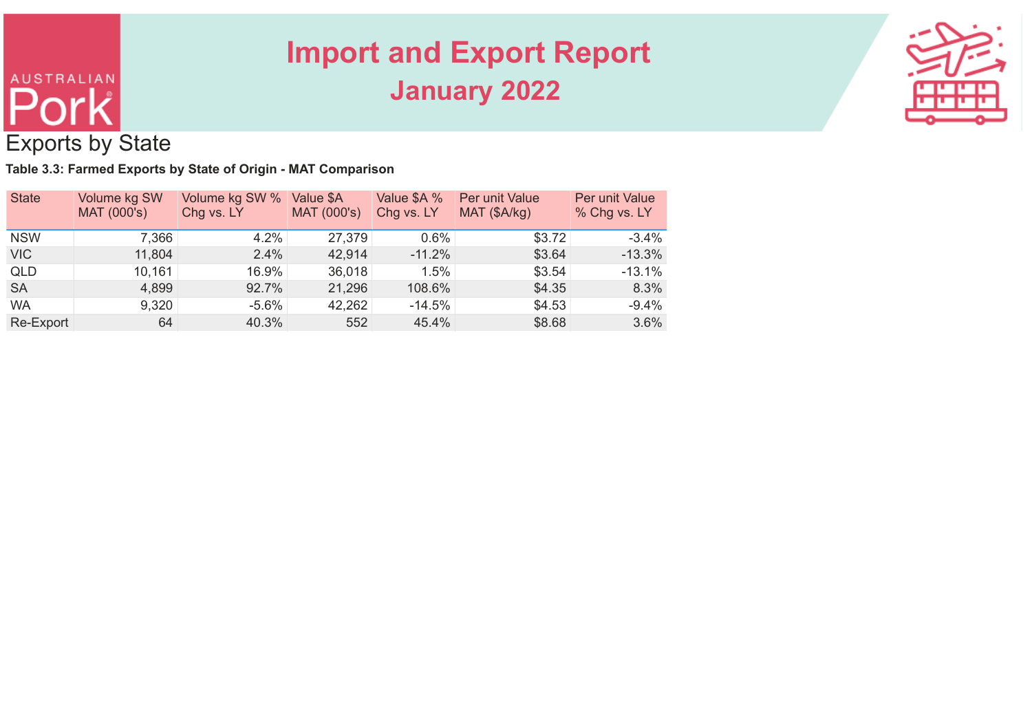

#### Exports by State

**AUSTRALIAN** 

**Table 3.3: Farmed Exports by State of Origin - MAT Comparison**

| <b>State</b> | Volume kg SW<br>MAT (000's) | Volume kg SW %<br>Chg vs. LY | Value \$A<br>MAT (000's) | Value \$A %<br>Chg vs. LY | <b>Per unit Value</b><br>MAT (\$A/kg) | <b>Per unit Value</b><br>% Chg vs. LY |
|--------------|-----------------------------|------------------------------|--------------------------|---------------------------|---------------------------------------|---------------------------------------|
| <b>NSW</b>   | 7,366                       | 4.2%                         | 27,379                   | $0.6\%$                   | \$3.72                                | $-3.4%$                               |
| <b>VIC</b>   | 11,804                      | 2.4%                         | 42,914                   | $-11.2%$                  | \$3.64                                | $-13.3%$                              |
| <b>QLD</b>   | 10,161                      | 16.9%                        | 36,018                   | 1.5%                      | \$3.54                                | $-13.1%$                              |
| <b>SA</b>    | 4,899                       | 92.7%                        | 21,296                   | 108.6%                    | \$4.35                                | 8.3%                                  |
| <b>WA</b>    | 9,320                       | $-5.6%$                      | 42,262                   | $-14.5%$                  | \$4.53                                | $-9.4%$                               |
| Re-Export    | 64                          | 40.3%                        | 552                      | 45.4%                     | \$8.68                                | 3.6%                                  |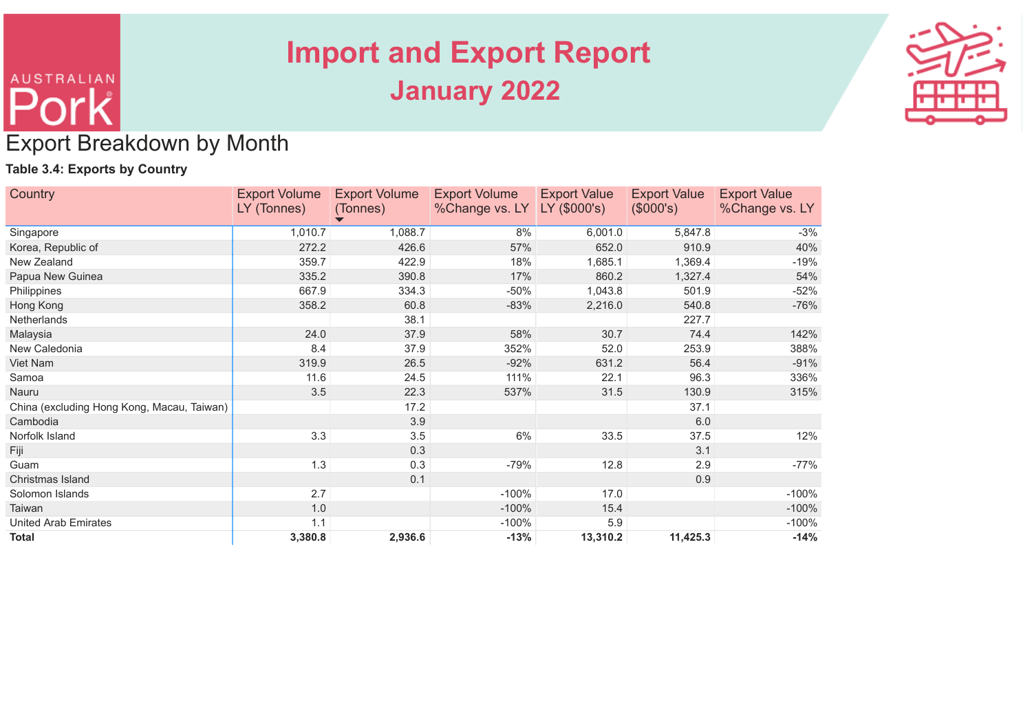

#### Export Breakdown by Month

#### **Table 3.4: Exports by Country**

**AUSTRALIAN** 

| <b>Country</b>                             | <b>Export Volume</b> | <b>Export Volume</b> | <b>Export Volume</b> | <b>Export Value</b> | <b>Export Value</b> | <b>Export Value</b> |
|--------------------------------------------|----------------------|----------------------|----------------------|---------------------|---------------------|---------------------|
|                                            | LY (Tonnes)          | (Tonnes)             | %Change vs. LY       | LY (\$000's)        | (\$000's)           | %Change vs. LY      |
| Singapore                                  | 1,010.7              | 1,088.7              | 8%                   | 6,001.0             | 5,847.8             | $-3%$               |
| Korea, Republic of                         | 272.2                | 426.6                | 57%                  | 652.0               | 910.9               | 40%                 |
| New Zealand                                | 359.7                | 422.9                | 18%                  | 1,685.1             | 1,369.4             | $-19%$              |
| Papua New Guinea                           | 335.2                | 390.8                | 17%                  | 860.2               | 1,327.4             | 54%                 |
| Philippines                                | 667.9                | 334.3                | $-50%$               | 1,043.8             | 501.9               | $-52%$              |
| Hong Kong                                  | 358.2                | 60.8                 | $-83%$               | 2,216.0             | 540.8               | $-76%$              |
| <b>Netherlands</b>                         |                      | 38.1                 |                      |                     | 227.7               |                     |
| Malaysia                                   | 24.0                 | 37.9                 | 58%                  | 30.7                | 74.4                | 142%                |
| New Caledonia                              | 8.4                  | 37.9                 | 352%                 | 52.0                | 253.9               | 388%                |
| Viet Nam                                   | 319.9                | 26.5                 | $-92%$               | 631.2               | 56.4                | $-91%$              |
| Samoa                                      | 11.6                 | 24.5                 | 111%                 | 22.1                | 96.3                | 336%                |
| Nauru                                      | 3.5                  | 22.3                 | 537%                 | 31.5                | 130.9               | 315%                |
| China (excluding Hong Kong, Macau, Taiwan) |                      | 17.2                 |                      |                     | 37.1                |                     |
| Cambodia                                   |                      | 3.9                  |                      |                     | 6.0                 |                     |
| Norfolk Island                             | 3.3                  | 3.5                  | 6%                   | 33.5                | 37.5                | 12%                 |
| Fiji                                       |                      | 0.3                  |                      |                     | 3.1                 |                     |
| Guam                                       | 1.3                  | 0.3                  | $-79%$               | 12.8                | 2.9                 | $-77%$              |
| Christmas Island                           |                      | 0.1                  |                      |                     | 0.9                 |                     |
| Solomon Islands                            | 2.7                  |                      | $-100%$              | 17.0                |                     | $-100%$             |
| Taiwan                                     | 1.0                  |                      | $-100%$              | 15.4                |                     | $-100%$             |
| <b>United Arab Emirates</b>                | 1.1                  |                      | $-100%$              | 5.9                 |                     | $-100%$             |
| <b>Total</b>                               | 3,380.8              | 2,936.6              | $-13%$               | 13,310.2            | 11,425.3            | $-14%$              |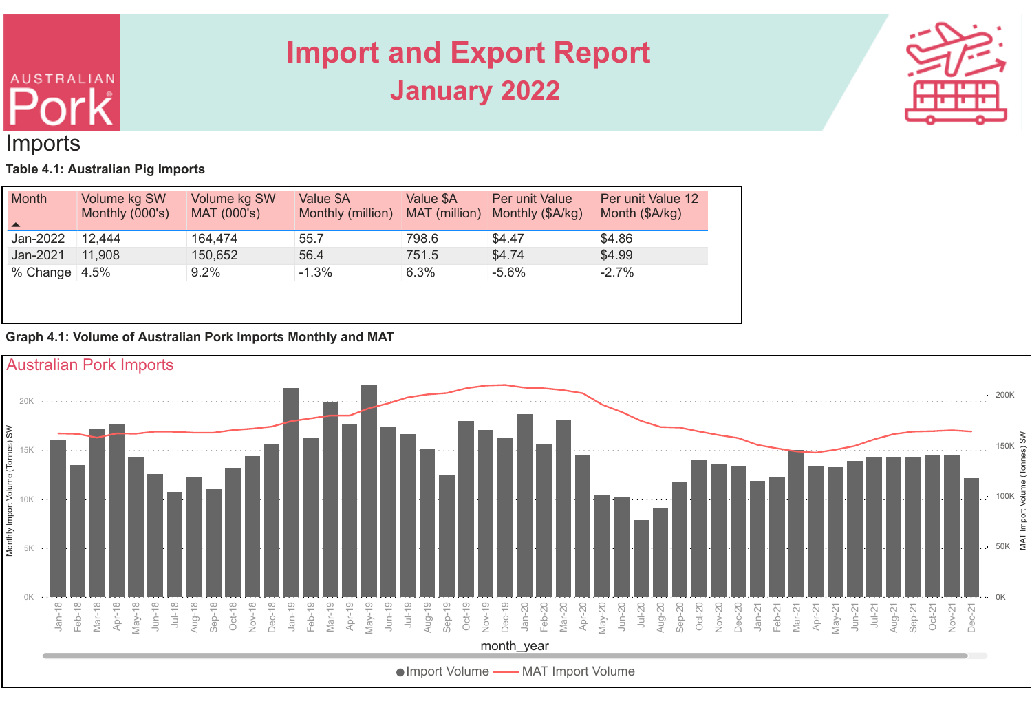# **AUSTRALIAN** Imports

## **Import and Export Report January 2022**



**Table 4.1: Australian Pig Imports**

| <b>Month</b><br>$\blacktriangle$ | Volume kg SW<br>Monthly (000's) | Volume kg SW<br>MAT (000's) | Value \$A<br>Monthly (million) | Value \$A<br>MAT (million) | Per unit Value<br>Monthly (\$A/kg) | Per unit Value 12<br>Month (\$A/kg) |
|----------------------------------|---------------------------------|-----------------------------|--------------------------------|----------------------------|------------------------------------|-------------------------------------|
| Jan-2022                         | 12,444                          | 164,474                     | 55.7                           | 798.6                      | \$4.47                             | \$4.86                              |
| Jan-2021                         | 11,908                          | 150,652                     | 56.4                           | 751.5                      | \$4.74                             | \$4.99                              |
| % Change $ 4.5%$                 |                                 | 9.2%                        | $-1.3%$                        | 6.3%                       | $-5.6%$                            | $-2.7%$                             |

#### **Graph 4.1: Volume of Australian Pork Imports Monthly and MAT**

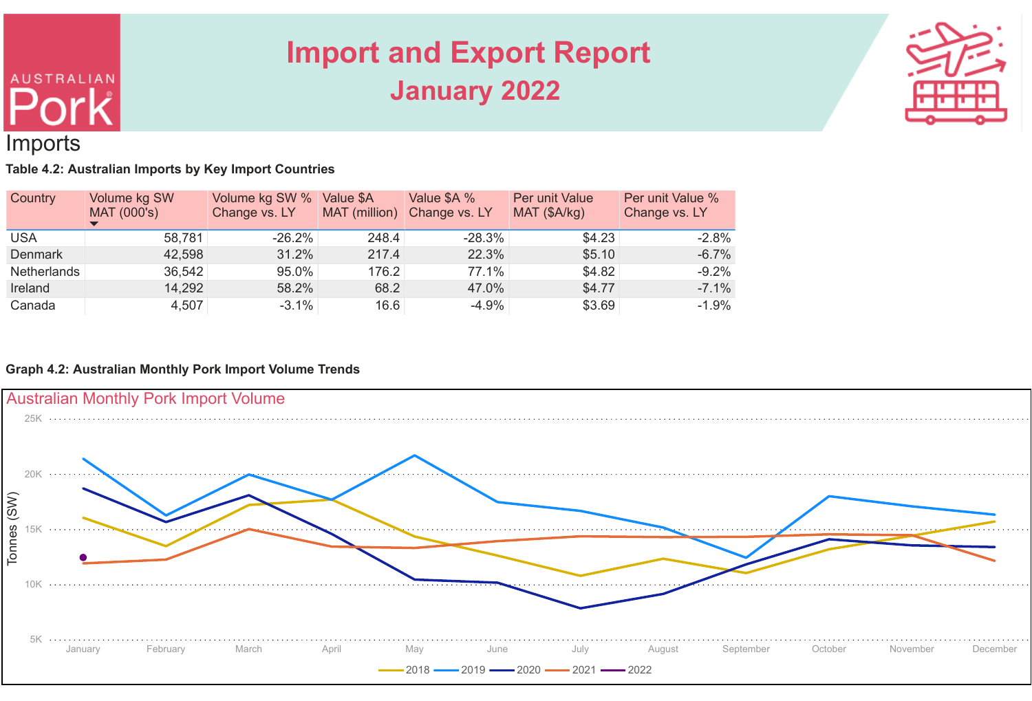

#### Imports

**AUSTRALIAN** 

**Table 4.2: Australian Imports by Key Import Countries**

| Country            | Volume kg SW<br>MAT (000's) | Volume kg SW %<br>Change vs. LY | Value \$A<br>MAT (million) | Value \$A %<br>Change vs. LY | <b>Per unit Value</b><br>MAT (\$A/kg) | Per unit Value %<br>Change vs. LY |
|--------------------|-----------------------------|---------------------------------|----------------------------|------------------------------|---------------------------------------|-----------------------------------|
| <b>USA</b>         | 58,781                      | $-26.2%$                        | 248.4                      | $-28.3%$                     | \$4.23                                | $-2.8%$                           |
| <b>Denmark</b>     | 42,598                      | 31.2%                           | 217.4                      | 22.3%                        | \$5.10                                | $-6.7\%$                          |
| <b>Netherlands</b> | 36,542                      | 95.0%                           | 176.2                      | 77.1%                        | \$4.82                                | $-9.2%$                           |
| Ireland            | 14,292                      | 58.2%                           | 68.2                       | 47.0%                        | \$4.77                                | $-7.1\%$                          |
| Canada             | 4,507                       | $-3.1\%$                        | 16.6                       | $-4.9%$                      | \$3.69                                | $-1.9%$                           |

#### **Graph 4.2: Australian Monthly Pork Import Volume Trends**

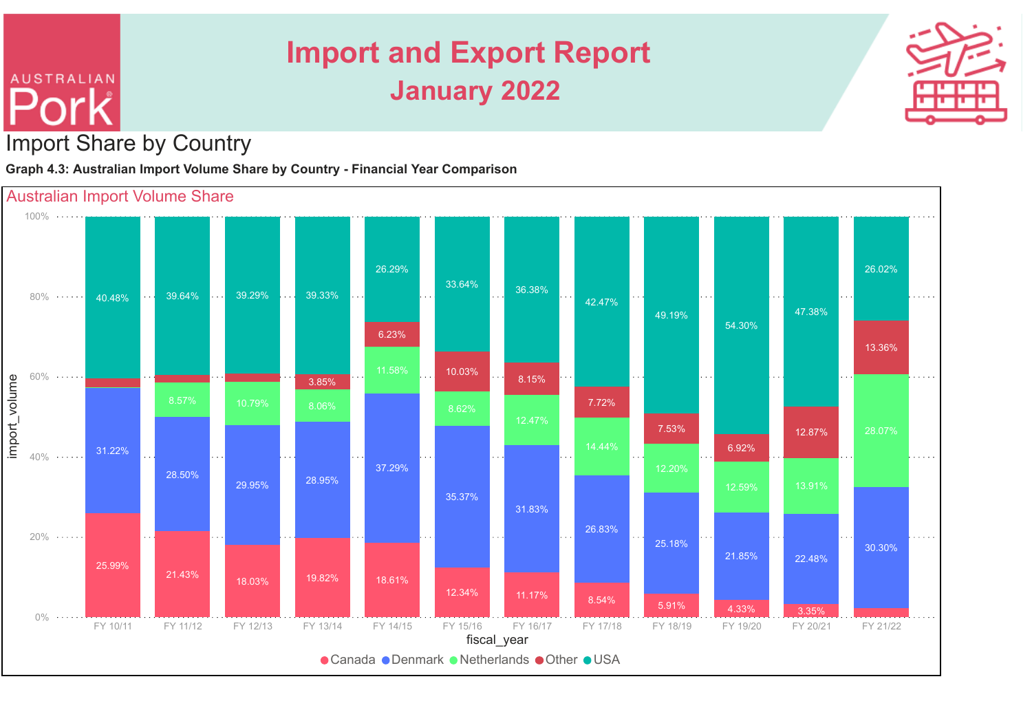

#### Import Share by Country

**AUSTRALIAN** 

**Graph 4.3: Australian Import Volume Share by Country - Financial Year Comparison**